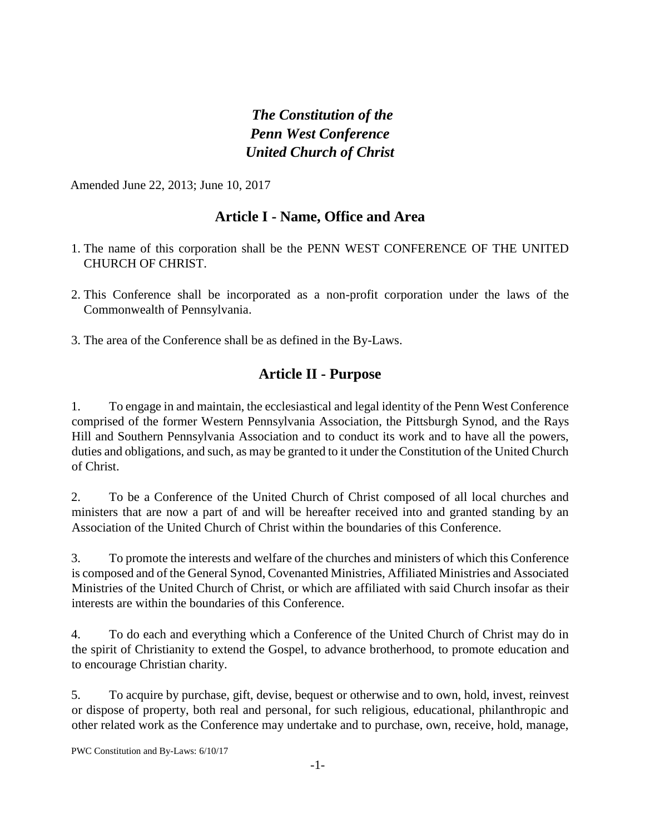# *The Constitution of the Penn West Conference United Church of Christ*

Amended June 22, 2013; June 10, 2017

## **Article I - Name, Office and Area**

- 1. The name of this corporation shall be the PENN WEST CONFERENCE OF THE UNITED CHURCH OF CHRIST.
- 2. This Conference shall be incorporated as a non-profit corporation under the laws of the Commonwealth of Pennsylvania.
- 3. The area of the Conference shall be as defined in the By-Laws.

### **Article II - Purpose**

1. To engage in and maintain, the ecclesiastical and legal identity of the Penn West Conference comprised of the former Western Pennsylvania Association, the Pittsburgh Synod, and the Rays Hill and Southern Pennsylvania Association and to conduct its work and to have all the powers, duties and obligations, and such, as may be granted to it under the Constitution of the United Church of Christ.

2. To be a Conference of the United Church of Christ composed of all local churches and ministers that are now a part of and will be hereafter received into and granted standing by an Association of the United Church of Christ within the boundaries of this Conference.

3. To promote the interests and welfare of the churches and ministers of which this Conference is composed and of the General Synod, Covenanted Ministries, Affiliated Ministries and Associated Ministries of the United Church of Christ, or which are affiliated with said Church insofar as their interests are within the boundaries of this Conference.

4. To do each and everything which a Conference of the United Church of Christ may do in the spirit of Christianity to extend the Gospel, to advance brotherhood, to promote education and to encourage Christian charity.

5. To acquire by purchase, gift, devise, bequest or otherwise and to own, hold, invest, reinvest or dispose of property, both real and personal, for such religious, educational, philanthropic and other related work as the Conference may undertake and to purchase, own, receive, hold, manage,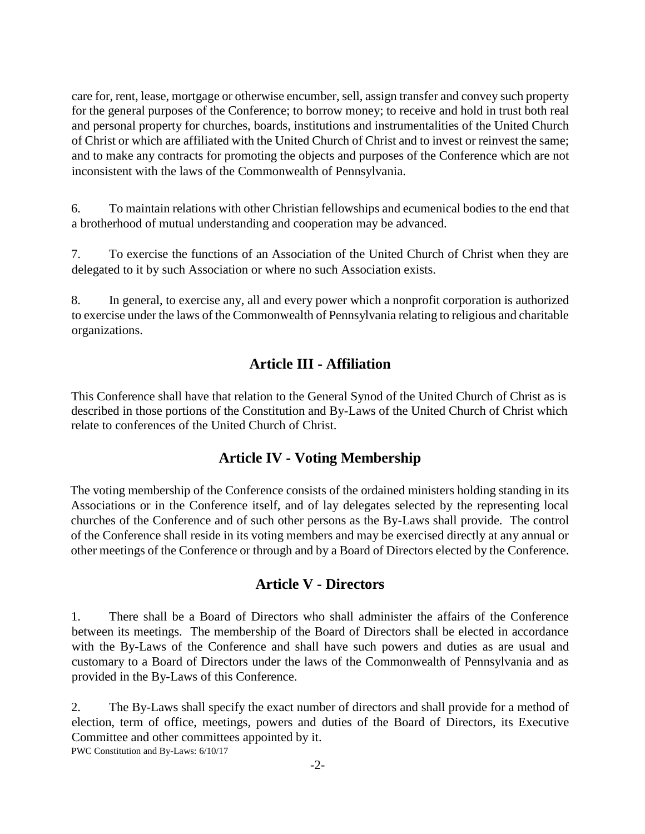care for, rent, lease, mortgage or otherwise encumber, sell, assign transfer and convey such property for the general purposes of the Conference; to borrow money; to receive and hold in trust both real and personal property for churches, boards, institutions and instrumentalities of the United Church of Christ or which are affiliated with the United Church of Christ and to invest or reinvest the same; and to make any contracts for promoting the objects and purposes of the Conference which are not inconsistent with the laws of the Commonwealth of Pennsylvania.

6. To maintain relations with other Christian fellowships and ecumenical bodies to the end that a brotherhood of mutual understanding and cooperation may be advanced.

7. To exercise the functions of an Association of the United Church of Christ when they are delegated to it by such Association or where no such Association exists.

8. In general, to exercise any, all and every power which a nonprofit corporation is authorized to exercise under the laws of the Commonwealth of Pennsylvania relating to religious and charitable organizations.

## **Article III - Affiliation**

This Conference shall have that relation to the General Synod of the United Church of Christ as is described in those portions of the Constitution and By-Laws of the United Church of Christ which relate to conferences of the United Church of Christ.

### **Article IV - Voting Membership**

The voting membership of the Conference consists of the ordained ministers holding standing in its Associations or in the Conference itself, and of lay delegates selected by the representing local churches of the Conference and of such other persons as the By-Laws shall provide. The control of the Conference shall reside in its voting members and may be exercised directly at any annual or other meetings of the Conference or through and by a Board of Directors elected by the Conference.

### **Article V - Directors**

1. There shall be a Board of Directors who shall administer the affairs of the Conference between its meetings. The membership of the Board of Directors shall be elected in accordance with the By-Laws of the Conference and shall have such powers and duties as are usual and customary to a Board of Directors under the laws of the Commonwealth of Pennsylvania and as provided in the By-Laws of this Conference.

2. The By-Laws shall specify the exact number of directors and shall provide for a method of election, term of office, meetings, powers and duties of the Board of Directors, its Executive Committee and other committees appointed by it.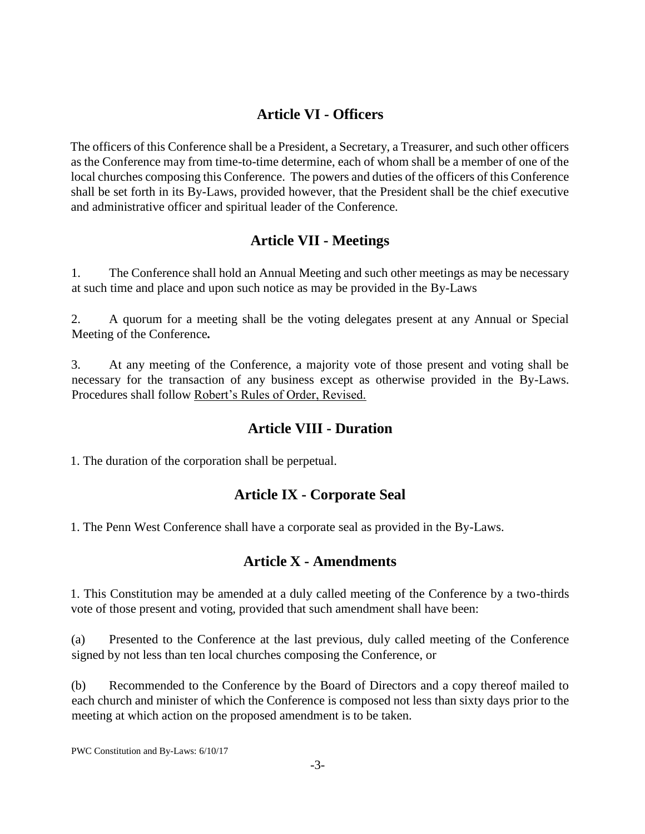# **Article VI - Officers**

The officers of this Conference shall be a President, a Secretary, a Treasurer, and such other officers as the Conference may from time-to-time determine, each of whom shall be a member of one of the local churches composing this Conference. The powers and duties of the officers of this Conference shall be set forth in its By-Laws, provided however, that the President shall be the chief executive and administrative officer and spiritual leader of the Conference.

#### **Article VII - Meetings**

1. The Conference shall hold an Annual Meeting and such other meetings as may be necessary at such time and place and upon such notice as may be provided in the By-Laws

2. A quorum for a meeting shall be the voting delegates present at any Annual or Special Meeting of the Conference*.*

3. At any meeting of the Conference, a majority vote of those present and voting shall be necessary for the transaction of any business except as otherwise provided in the By-Laws. Procedures shall follow Robert's Rules of Order, Revised.

#### **Article VIII - Duration**

1. The duration of the corporation shall be perpetual.

### **Article IX - Corporate Seal**

1. The Penn West Conference shall have a corporate seal as provided in the By-Laws.

#### **Article X - Amendments**

1. This Constitution may be amended at a duly called meeting of the Conference by a two-thirds vote of those present and voting, provided that such amendment shall have been:

(a) Presented to the Conference at the last previous, duly called meeting of the Conference signed by not less than ten local churches composing the Conference, or

(b) Recommended to the Conference by the Board of Directors and a copy thereof mailed to each church and minister of which the Conference is composed not less than sixty days prior to the meeting at which action on the proposed amendment is to be taken.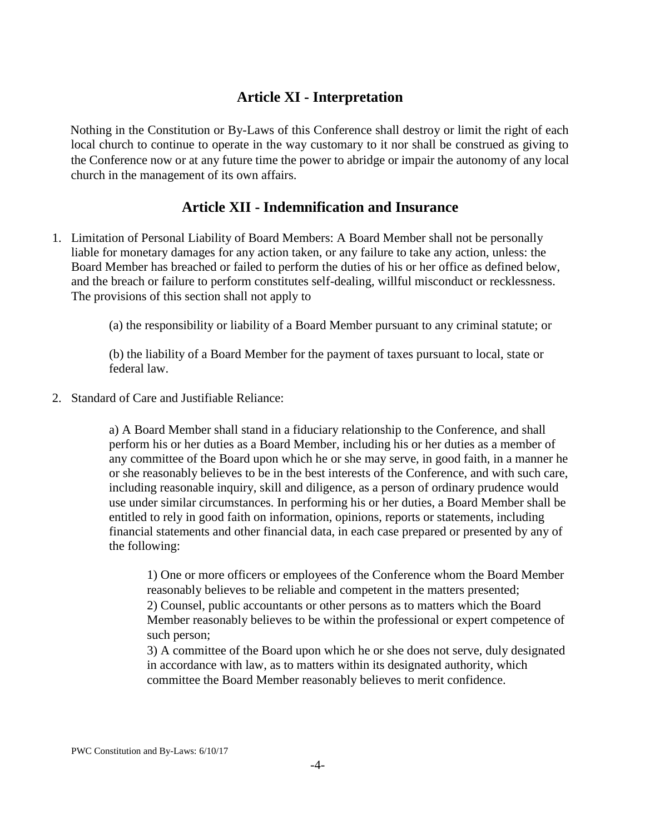# **Article XI - Interpretation**

Nothing in the Constitution or By-Laws of this Conference shall destroy or limit the right of each local church to continue to operate in the way customary to it nor shall be construed as giving to the Conference now or at any future time the power to abridge or impair the autonomy of any local church in the management of its own affairs.

## **Article XII - Indemnification and Insurance**

1. Limitation of Personal Liability of Board Members: A Board Member shall not be personally liable for monetary damages for any action taken, or any failure to take any action, unless: the Board Member has breached or failed to perform the duties of his or her office as defined below, and the breach or failure to perform constitutes self-dealing, willful misconduct or recklessness. The provisions of this section shall not apply to

(a) the responsibility or liability of a Board Member pursuant to any criminal statute; or

(b) the liability of a Board Member for the payment of taxes pursuant to local, state or federal law.

2. Standard of Care and Justifiable Reliance:

a) A Board Member shall stand in a fiduciary relationship to the Conference, and shall perform his or her duties as a Board Member, including his or her duties as a member of any committee of the Board upon which he or she may serve, in good faith, in a manner he or she reasonably believes to be in the best interests of the Conference, and with such care, including reasonable inquiry, skill and diligence, as a person of ordinary prudence would use under similar circumstances. In performing his or her duties, a Board Member shall be entitled to rely in good faith on information, opinions, reports or statements, including financial statements and other financial data, in each case prepared or presented by any of the following:

1) One or more officers or employees of the Conference whom the Board Member reasonably believes to be reliable and competent in the matters presented; 2) Counsel, public accountants or other persons as to matters which the Board Member reasonably believes to be within the professional or expert competence of such person;

3) A committee of the Board upon which he or she does not serve, duly designated in accordance with law, as to matters within its designated authority, which committee the Board Member reasonably believes to merit confidence.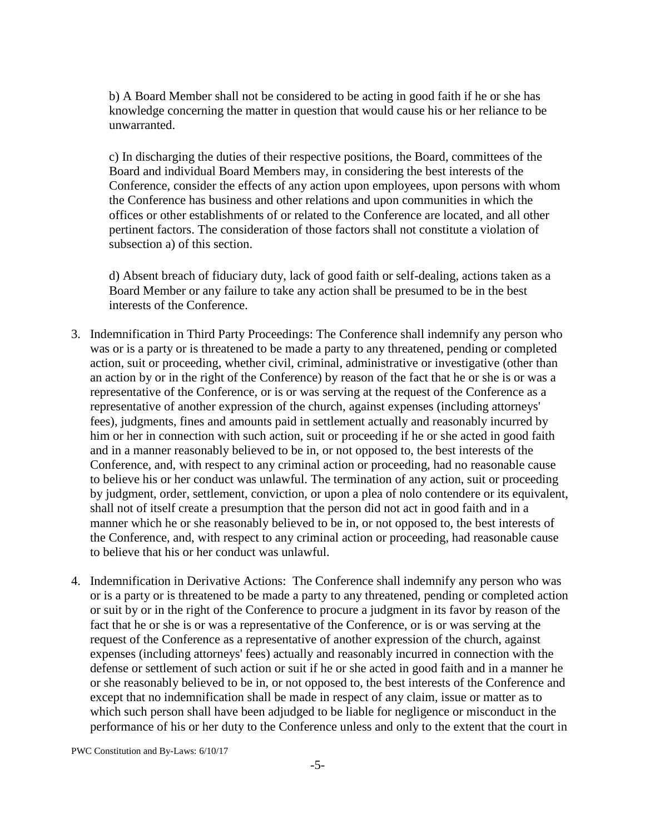b) A Board Member shall not be considered to be acting in good faith if he or she has knowledge concerning the matter in question that would cause his or her reliance to be unwarranted.

c) In discharging the duties of their respective positions, the Board, committees of the Board and individual Board Members may, in considering the best interests of the Conference, consider the effects of any action upon employees, upon persons with whom the Conference has business and other relations and upon communities in which the offices or other establishments of or related to the Conference are located, and all other pertinent factors. The consideration of those factors shall not constitute a violation of subsection a) of this section.

d) Absent breach of fiduciary duty, lack of good faith or self-dealing, actions taken as a Board Member or any failure to take any action shall be presumed to be in the best interests of the Conference.

- 3. Indemnification in Third Party Proceedings: The Conference shall indemnify any person who was or is a party or is threatened to be made a party to any threatened, pending or completed action, suit or proceeding, whether civil, criminal, administrative or investigative (other than an action by or in the right of the Conference) by reason of the fact that he or she is or was a representative of the Conference, or is or was serving at the request of the Conference as a representative of another expression of the church, against expenses (including attorneys' fees), judgments, fines and amounts paid in settlement actually and reasonably incurred by him or her in connection with such action, suit or proceeding if he or she acted in good faith and in a manner reasonably believed to be in, or not opposed to, the best interests of the Conference, and, with respect to any criminal action or proceeding, had no reasonable cause to believe his or her conduct was unlawful. The termination of any action, suit or proceeding by judgment, order, settlement, conviction, or upon a plea of nolo contendere or its equivalent, shall not of itself create a presumption that the person did not act in good faith and in a manner which he or she reasonably believed to be in, or not opposed to, the best interests of the Conference, and, with respect to any criminal action or proceeding, had reasonable cause to believe that his or her conduct was unlawful.
- 4. Indemnification in Derivative Actions: The Conference shall indemnify any person who was or is a party or is threatened to be made a party to any threatened, pending or completed action or suit by or in the right of the Conference to procure a judgment in its favor by reason of the fact that he or she is or was a representative of the Conference, or is or was serving at the request of the Conference as a representative of another expression of the church, against expenses (including attorneys' fees) actually and reasonably incurred in connection with the defense or settlement of such action or suit if he or she acted in good faith and in a manner he or she reasonably believed to be in, or not opposed to, the best interests of the Conference and except that no indemnification shall be made in respect of any claim, issue or matter as to which such person shall have been adjudged to be liable for negligence or misconduct in the performance of his or her duty to the Conference unless and only to the extent that the court in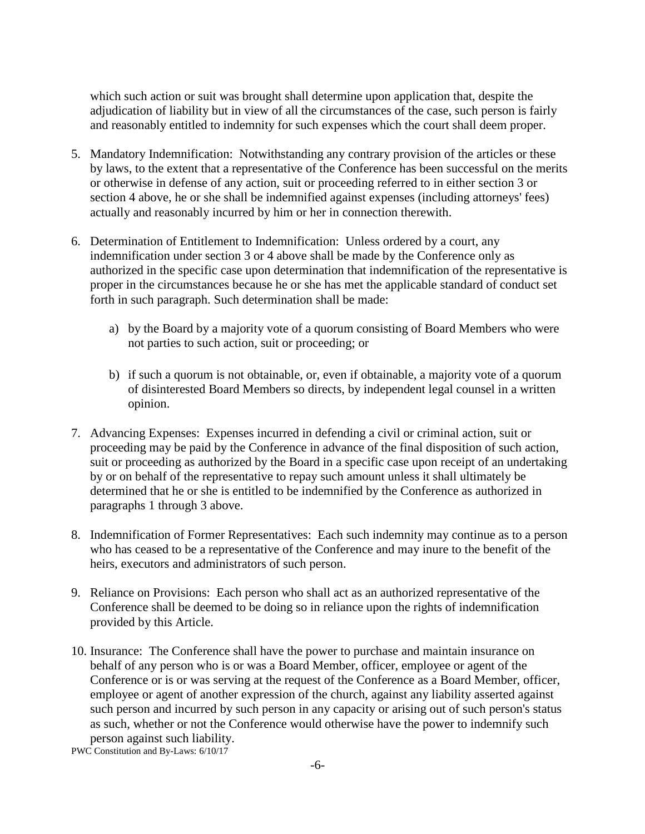which such action or suit was brought shall determine upon application that, despite the adjudication of liability but in view of all the circumstances of the case, such person is fairly and reasonably entitled to indemnity for such expenses which the court shall deem proper.

- 5. Mandatory Indemnification: Notwithstanding any contrary provision of the articles or these by laws, to the extent that a representative of the Conference has been successful on the merits or otherwise in defense of any action, suit or proceeding referred to in either section 3 or section 4 above, he or she shall be indemnified against expenses (including attorneys' fees) actually and reasonably incurred by him or her in connection therewith.
- 6. Determination of Entitlement to Indemnification: Unless ordered by a court, any indemnification under section 3 or 4 above shall be made by the Conference only as authorized in the specific case upon determination that indemnification of the representative is proper in the circumstances because he or she has met the applicable standard of conduct set forth in such paragraph. Such determination shall be made:
	- a) by the Board by a majority vote of a quorum consisting of Board Members who were not parties to such action, suit or proceeding; or
	- b) if such a quorum is not obtainable, or, even if obtainable, a majority vote of a quorum of disinterested Board Members so directs, by independent legal counsel in a written opinion.
- 7. Advancing Expenses: Expenses incurred in defending a civil or criminal action, suit or proceeding may be paid by the Conference in advance of the final disposition of such action, suit or proceeding as authorized by the Board in a specific case upon receipt of an undertaking by or on behalf of the representative to repay such amount unless it shall ultimately be determined that he or she is entitled to be indemnified by the Conference as authorized in paragraphs 1 through 3 above.
- 8. Indemnification of Former Representatives: Each such indemnity may continue as to a person who has ceased to be a representative of the Conference and may inure to the benefit of the heirs, executors and administrators of such person.
- 9. Reliance on Provisions: Each person who shall act as an authorized representative of the Conference shall be deemed to be doing so in reliance upon the rights of indemnification provided by this Article.
- 10. Insurance: The Conference shall have the power to purchase and maintain insurance on behalf of any person who is or was a Board Member, officer, employee or agent of the Conference or is or was serving at the request of the Conference as a Board Member, officer, employee or agent of another expression of the church, against any liability asserted against such person and incurred by such person in any capacity or arising out of such person's status as such, whether or not the Conference would otherwise have the power to indemnify such person against such liability.

PWC Constitution and By-Laws: 6/10/17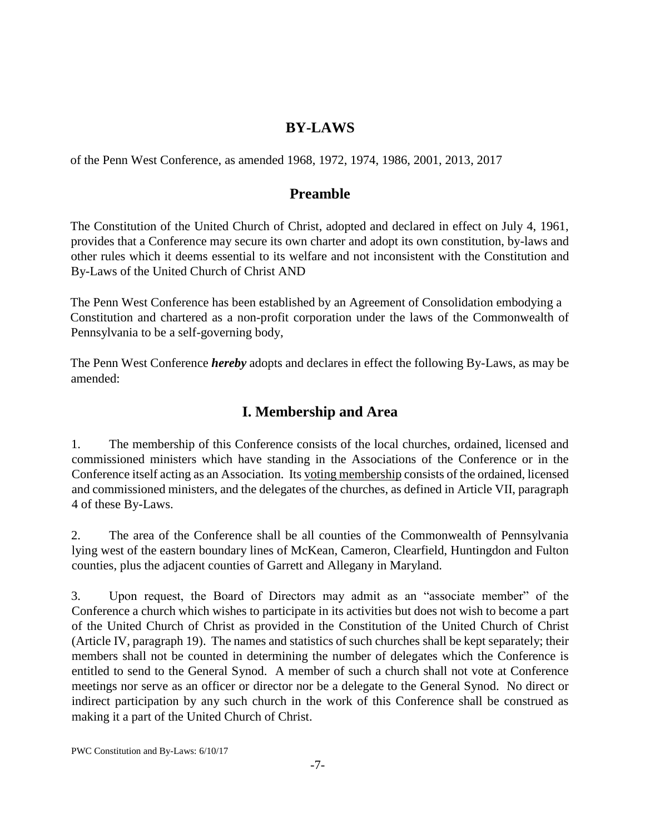### **BY-LAWS**

of the Penn West Conference, as amended 1968, 1972, 1974, 1986, 2001, 2013, 2017

#### **Preamble**

The Constitution of the United Church of Christ, adopted and declared in effect on July 4, 1961, provides that a Conference may secure its own charter and adopt its own constitution, by-laws and other rules which it deems essential to its welfare and not inconsistent with the Constitution and By-Laws of the United Church of Christ AND

The Penn West Conference has been established by an Agreement of Consolidation embodying a Constitution and chartered as a non-profit corporation under the laws of the Commonwealth of Pennsylvania to be a self-governing body,

The Penn West Conference *hereby* adopts and declares in effect the following By-Laws, as may be amended:

## **I. Membership and Area**

1. The membership of this Conference consists of the local churches, ordained, licensed and commissioned ministers which have standing in the Associations of the Conference or in the Conference itself acting as an Association. Its voting membership consists of the ordained, licensed and commissioned ministers, and the delegates of the churches, as defined in Article VII, paragraph 4 of these By-Laws.

2. The area of the Conference shall be all counties of the Commonwealth of Pennsylvania lying west of the eastern boundary lines of McKean, Cameron, Clearfield, Huntingdon and Fulton counties, plus the adjacent counties of Garrett and Allegany in Maryland.

3. Upon request, the Board of Directors may admit as an "associate member" of the Conference a church which wishes to participate in its activities but does not wish to become a part of the United Church of Christ as provided in the Constitution of the United Church of Christ (Article IV, paragraph 19). The names and statistics of such churches shall be kept separately; their members shall not be counted in determining the number of delegates which the Conference is entitled to send to the General Synod. A member of such a church shall not vote at Conference meetings nor serve as an officer or director nor be a delegate to the General Synod. No direct or indirect participation by any such church in the work of this Conference shall be construed as making it a part of the United Church of Christ.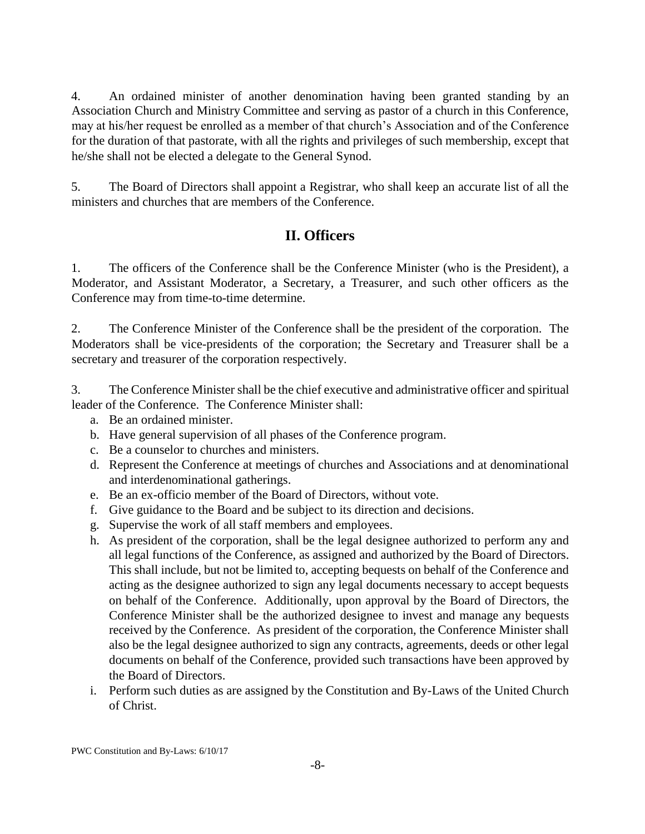4. An ordained minister of another denomination having been granted standing by an Association Church and Ministry Committee and serving as pastor of a church in this Conference, may at his/her request be enrolled as a member of that church's Association and of the Conference for the duration of that pastorate, with all the rights and privileges of such membership, except that he/she shall not be elected a delegate to the General Synod.

5. The Board of Directors shall appoint a Registrar, who shall keep an accurate list of all the ministers and churches that are members of the Conference.

## **II. Officers**

1. The officers of the Conference shall be the Conference Minister (who is the President), a Moderator, and Assistant Moderator, a Secretary, a Treasurer, and such other officers as the Conference may from time-to-time determine.

2. The Conference Minister of the Conference shall be the president of the corporation. The Moderators shall be vice-presidents of the corporation; the Secretary and Treasurer shall be a secretary and treasurer of the corporation respectively.

3. The Conference Minister shall be the chief executive and administrative officer and spiritual leader of the Conference. The Conference Minister shall:

- a. Be an ordained minister.
- b. Have general supervision of all phases of the Conference program.
- c. Be a counselor to churches and ministers.
- d. Represent the Conference at meetings of churches and Associations and at denominational and interdenominational gatherings.
- e. Be an ex-officio member of the Board of Directors, without vote.
- f. Give guidance to the Board and be subject to its direction and decisions.
- g. Supervise the work of all staff members and employees.
- h. As president of the corporation, shall be the legal designee authorized to perform any and all legal functions of the Conference, as assigned and authorized by the Board of Directors. This shall include, but not be limited to, accepting bequests on behalf of the Conference and acting as the designee authorized to sign any legal documents necessary to accept bequests on behalf of the Conference. Additionally, upon approval by the Board of Directors, the Conference Minister shall be the authorized designee to invest and manage any bequests received by the Conference. As president of the corporation, the Conference Minister shall also be the legal designee authorized to sign any contracts, agreements, deeds or other legal documents on behalf of the Conference, provided such transactions have been approved by the Board of Directors.
- i. Perform such duties as are assigned by the Constitution and By-Laws of the United Church of Christ.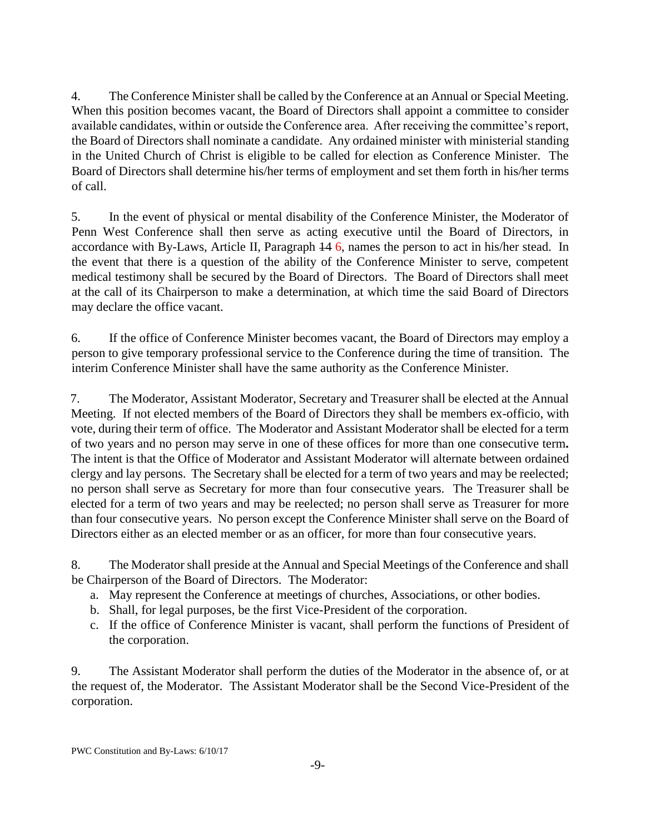4. The Conference Minister shall be called by the Conference at an Annual or Special Meeting. When this position becomes vacant, the Board of Directors shall appoint a committee to consider available candidates, within or outside the Conference area. After receiving the committee's report, the Board of Directors shall nominate a candidate. Any ordained minister with ministerial standing in the United Church of Christ is eligible to be called for election as Conference Minister. The Board of Directors shall determine his/her terms of employment and set them forth in his/her terms of call.

5. In the event of physical or mental disability of the Conference Minister, the Moderator of Penn West Conference shall then serve as acting executive until the Board of Directors, in accordance with By-Laws, Article II, Paragraph 14 6, names the person to act in his/her stead. In the event that there is a question of the ability of the Conference Minister to serve, competent medical testimony shall be secured by the Board of Directors. The Board of Directors shall meet at the call of its Chairperson to make a determination, at which time the said Board of Directors may declare the office vacant.

6. If the office of Conference Minister becomes vacant, the Board of Directors may employ a person to give temporary professional service to the Conference during the time of transition. The interim Conference Minister shall have the same authority as the Conference Minister.

7. The Moderator, Assistant Moderator, Secretary and Treasurer shall be elected at the Annual Meeting. If not elected members of the Board of Directors they shall be members ex-officio, with vote, during their term of office. The Moderator and Assistant Moderator shall be elected for a term of two years and no person may serve in one of these offices for more than one consecutive term*.*  The intent is that the Office of Moderator and Assistant Moderator will alternate between ordained clergy and lay persons. The Secretary shall be elected for a term of two years and may be reelected; no person shall serve as Secretary for more than four consecutive years. The Treasurer shall be elected for a term of two years and may be reelected; no person shall serve as Treasurer for more than four consecutive years. No person except the Conference Minister shall serve on the Board of Directors either as an elected member or as an officer, for more than four consecutive years.

8. The Moderator shall preside at the Annual and Special Meetings of the Conference and shall be Chairperson of the Board of Directors. The Moderator:

- a. May represent the Conference at meetings of churches, Associations, or other bodies.
- b. Shall, for legal purposes, be the first Vice-President of the corporation.
- c. If the office of Conference Minister is vacant, shall perform the functions of President of the corporation.

9. The Assistant Moderator shall perform the duties of the Moderator in the absence of, or at the request of, the Moderator. The Assistant Moderator shall be the Second Vice-President of the corporation.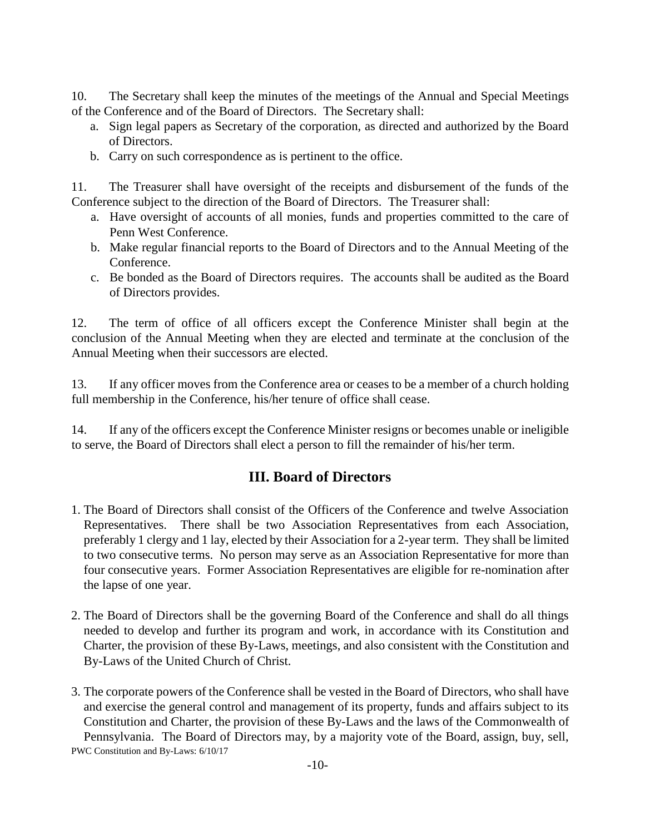10. The Secretary shall keep the minutes of the meetings of the Annual and Special Meetings of the Conference and of the Board of Directors. The Secretary shall:

- a. Sign legal papers as Secretary of the corporation, as directed and authorized by the Board of Directors.
- b. Carry on such correspondence as is pertinent to the office.

11. The Treasurer shall have oversight of the receipts and disbursement of the funds of the Conference subject to the direction of the Board of Directors. The Treasurer shall:

- a. Have oversight of accounts of all monies, funds and properties committed to the care of Penn West Conference.
- b. Make regular financial reports to the Board of Directors and to the Annual Meeting of the Conference.
- c. Be bonded as the Board of Directors requires. The accounts shall be audited as the Board of Directors provides.

12. The term of office of all officers except the Conference Minister shall begin at the conclusion of the Annual Meeting when they are elected and terminate at the conclusion of the Annual Meeting when their successors are elected.

13. If any officer moves from the Conference area or ceases to be a member of a church holding full membership in the Conference, his/her tenure of office shall cease.

14. If any of the officers except the Conference Minister resigns or becomes unable or ineligible to serve, the Board of Directors shall elect a person to fill the remainder of his/her term.

# **III. Board of Directors**

- 1. The Board of Directors shall consist of the Officers of the Conference and twelve Association Representatives. There shall be two Association Representatives from each Association, preferably 1 clergy and 1 lay, elected by their Association for a 2-year term. They shall be limited to two consecutive terms. No person may serve as an Association Representative for more than four consecutive years. Former Association Representatives are eligible for re-nomination after the lapse of one year.
- 2. The Board of Directors shall be the governing Board of the Conference and shall do all things needed to develop and further its program and work, in accordance with its Constitution and Charter, the provision of these By-Laws, meetings, and also consistent with the Constitution and By-Laws of the United Church of Christ.
- PWC Constitution and By-Laws: 6/10/17 3. The corporate powers of the Conference shall be vested in the Board of Directors, who shall have and exercise the general control and management of its property, funds and affairs subject to its Constitution and Charter, the provision of these By-Laws and the laws of the Commonwealth of Pennsylvania. The Board of Directors may, by a majority vote of the Board, assign, buy, sell,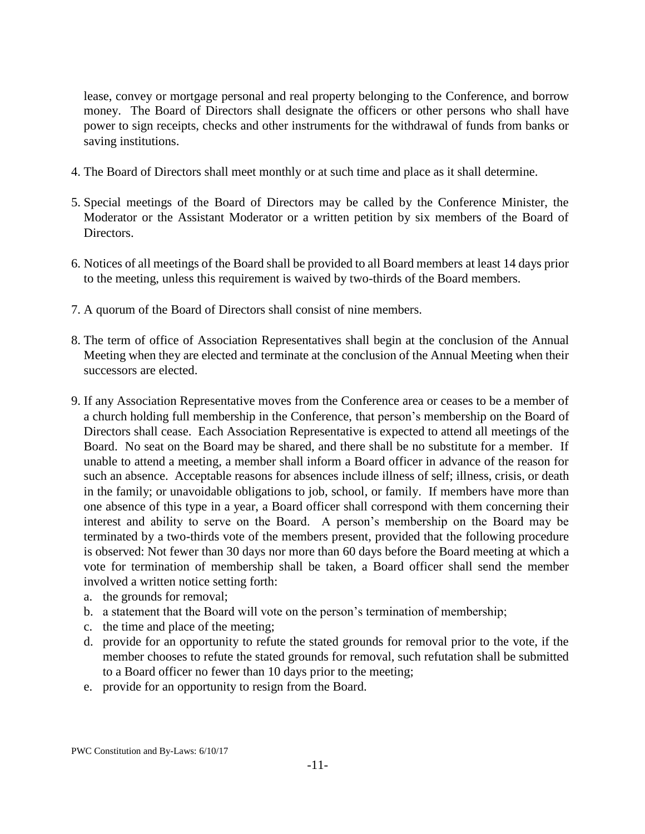lease, convey or mortgage personal and real property belonging to the Conference, and borrow money. The Board of Directors shall designate the officers or other persons who shall have power to sign receipts, checks and other instruments for the withdrawal of funds from banks or saving institutions.

- 4. The Board of Directors shall meet monthly or at such time and place as it shall determine.
- 5. Special meetings of the Board of Directors may be called by the Conference Minister, the Moderator or the Assistant Moderator or a written petition by six members of the Board of Directors.
- 6. Notices of all meetings of the Board shall be provided to all Board members at least 14 days prior to the meeting, unless this requirement is waived by two-thirds of the Board members.
- 7. A quorum of the Board of Directors shall consist of nine members.
- 8. The term of office of Association Representatives shall begin at the conclusion of the Annual Meeting when they are elected and terminate at the conclusion of the Annual Meeting when their successors are elected.
- 9. If any Association Representative moves from the Conference area or ceases to be a member of a church holding full membership in the Conference, that person's membership on the Board of Directors shall cease. Each Association Representative is expected to attend all meetings of the Board. No seat on the Board may be shared, and there shall be no substitute for a member. If unable to attend a meeting, a member shall inform a Board officer in advance of the reason for such an absence. Acceptable reasons for absences include illness of self; illness, crisis, or death in the family; or unavoidable obligations to job, school, or family. If members have more than one absence of this type in a year, a Board officer shall correspond with them concerning their interest and ability to serve on the Board. A person's membership on the Board may be terminated by a two-thirds vote of the members present, provided that the following procedure is observed: Not fewer than 30 days nor more than 60 days before the Board meeting at which a vote for termination of membership shall be taken, a Board officer shall send the member involved a written notice setting forth:
	- a. the grounds for removal;
	- b. a statement that the Board will vote on the person's termination of membership;
	- c. the time and place of the meeting;
	- d. provide for an opportunity to refute the stated grounds for removal prior to the vote, if the member chooses to refute the stated grounds for removal, such refutation shall be submitted to a Board officer no fewer than 10 days prior to the meeting;
	- e. provide for an opportunity to resign from the Board.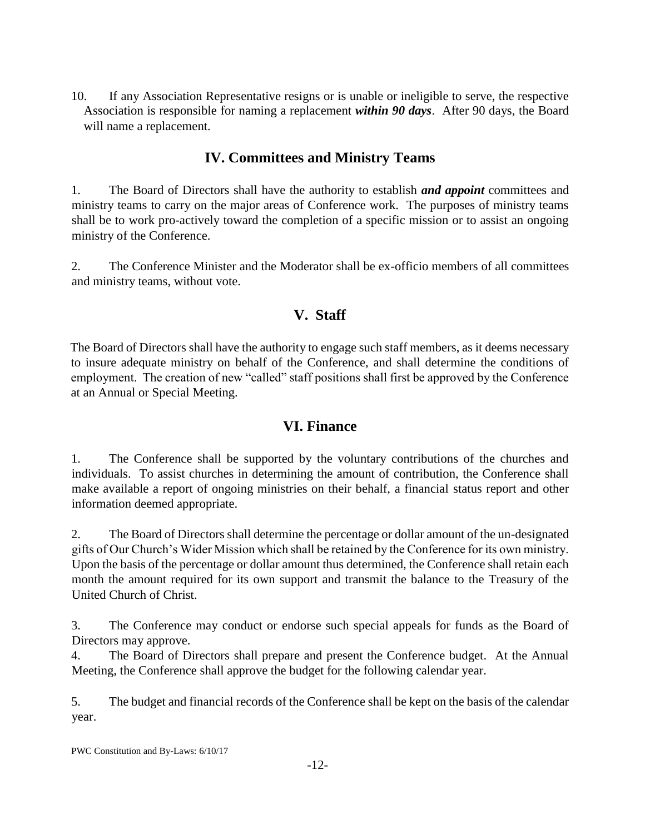10. If any Association Representative resigns or is unable or ineligible to serve, the respective Association is responsible for naming a replacement *within 90 days*. After 90 days, the Board will name a replacement.

## **IV. Committees and Ministry Teams**

1. The Board of Directors shall have the authority to establish *and appoint* committees and ministry teams to carry on the major areas of Conference work. The purposes of ministry teams shall be to work pro-actively toward the completion of a specific mission or to assist an ongoing ministry of the Conference.

2. The Conference Minister and the Moderator shall be ex-officio members of all committees and ministry teams, without vote.

# **V. Staff**

The Board of Directors shall have the authority to engage such staff members, as it deems necessary to insure adequate ministry on behalf of the Conference, and shall determine the conditions of employment. The creation of new "called" staff positions shall first be approved by the Conference at an Annual or Special Meeting.

# **VI. Finance**

1. The Conference shall be supported by the voluntary contributions of the churches and individuals. To assist churches in determining the amount of contribution, the Conference shall make available a report of ongoing ministries on their behalf, a financial status report and other information deemed appropriate.

2. The Board of Directors shall determine the percentage or dollar amount of the un-designated gifts of Our Church's Wider Mission which shall be retained by the Conference for its own ministry. Upon the basis of the percentage or dollar amount thus determined, the Conference shall retain each month the amount required for its own support and transmit the balance to the Treasury of the United Church of Christ.

3. The Conference may conduct or endorse such special appeals for funds as the Board of Directors may approve.

4. The Board of Directors shall prepare and present the Conference budget. At the Annual Meeting, the Conference shall approve the budget for the following calendar year.

5. The budget and financial records of the Conference shall be kept on the basis of the calendar year.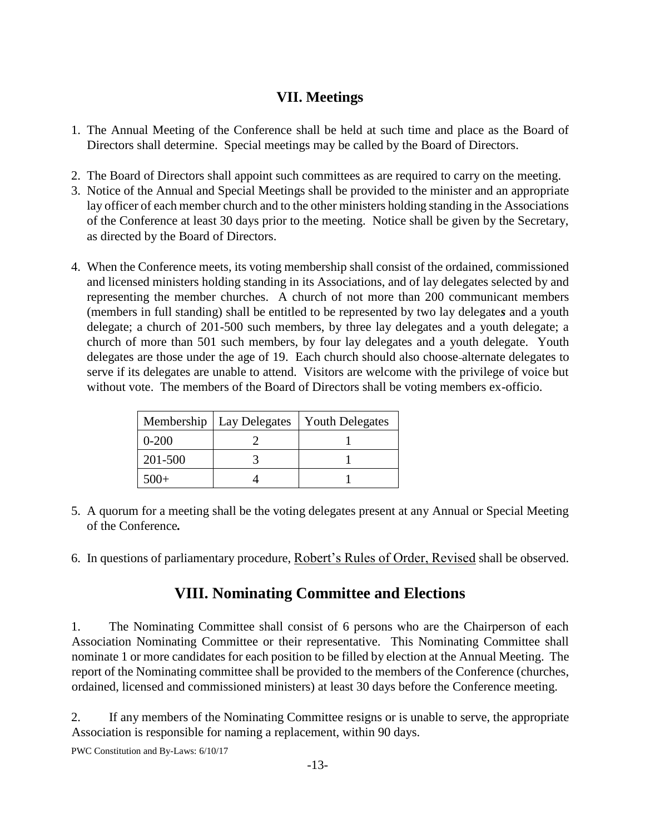## **VII. Meetings**

- 1. The Annual Meeting of the Conference shall be held at such time and place as the Board of Directors shall determine. Special meetings may be called by the Board of Directors.
- 2. The Board of Directors shall appoint such committees as are required to carry on the meeting.
- 3. Notice of the Annual and Special Meetings shall be provided to the minister and an appropriate lay officer of each member church and to the other ministers holding standing in the Associations of the Conference at least 30 days prior to the meeting. Notice shall be given by the Secretary, as directed by the Board of Directors.
- 4. When the Conference meets, its voting membership shall consist of the ordained, commissioned and licensed ministers holding standing in its Associations, and of lay delegates selected by and representing the member churches. A church of not more than 200 communicant members (members in full standing) shall be entitled to be represented by two lay delegate*s* and a youth delegate; a church of 201-500 such members, by three lay delegates and a youth delegate; a church of more than 501 such members, by four lay delegates and a youth delegate. Youth delegates are those under the age of 19. Each church should also choose alternate delegates to serve if its delegates are unable to attend. Visitors are welcome with the privilege of voice but without vote. The members of the Board of Directors shall be voting members ex-officio.

| Membership | Lay Delegates | <b>Youth Delegates</b> |
|------------|---------------|------------------------|
| $0 - 200$  |               |                        |
| 201-500    |               |                        |
| $500+$     |               |                        |

- 5. A quorum for a meeting shall be the voting delegates present at any Annual or Special Meeting of the Conference*.*
- 6. In questions of parliamentary procedure, Robert's Rules of Order, Revised shall be observed.

# **VIII. Nominating Committee and Elections**

1. The Nominating Committee shall consist of 6 persons who are the Chairperson of each Association Nominating Committee or their representative. This Nominating Committee shall nominate 1 or more candidates for each position to be filled by election at the Annual Meeting. The report of the Nominating committee shall be provided to the members of the Conference (churches, ordained, licensed and commissioned ministers) at least 30 days before the Conference meeting.

2. If any members of the Nominating Committee resigns or is unable to serve, the appropriate Association is responsible for naming a replacement, within 90 days.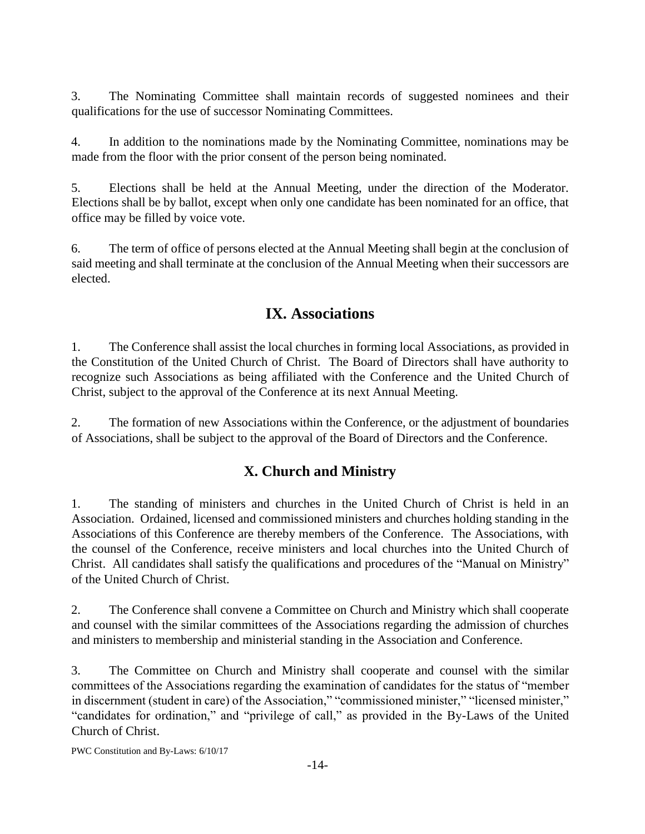3. The Nominating Committee shall maintain records of suggested nominees and their qualifications for the use of successor Nominating Committees.

4. In addition to the nominations made by the Nominating Committee, nominations may be made from the floor with the prior consent of the person being nominated.

5. Elections shall be held at the Annual Meeting, under the direction of the Moderator. Elections shall be by ballot, except when only one candidate has been nominated for an office, that office may be filled by voice vote.

6. The term of office of persons elected at the Annual Meeting shall begin at the conclusion of said meeting and shall terminate at the conclusion of the Annual Meeting when their successors are elected.

# **IX. Associations**

1. The Conference shall assist the local churches in forming local Associations, as provided in the Constitution of the United Church of Christ. The Board of Directors shall have authority to recognize such Associations as being affiliated with the Conference and the United Church of Christ, subject to the approval of the Conference at its next Annual Meeting.

2. The formation of new Associations within the Conference, or the adjustment of boundaries of Associations, shall be subject to the approval of the Board of Directors and the Conference.

# **X. Church and Ministry**

1. The standing of ministers and churches in the United Church of Christ is held in an Association. Ordained, licensed and commissioned ministers and churches holding standing in the Associations of this Conference are thereby members of the Conference. The Associations, with the counsel of the Conference, receive ministers and local churches into the United Church of Christ. All candidates shall satisfy the qualifications and procedures of the "Manual on Ministry" of the United Church of Christ.

2. The Conference shall convene a Committee on Church and Ministry which shall cooperate and counsel with the similar committees of the Associations regarding the admission of churches and ministers to membership and ministerial standing in the Association and Conference.

3. The Committee on Church and Ministry shall cooperate and counsel with the similar committees of the Associations regarding the examination of candidates for the status of "member in discernment (student in care) of the Association," "commissioned minister," "licensed minister," "candidates for ordination," and "privilege of call," as provided in the By-Laws of the United Church of Christ.